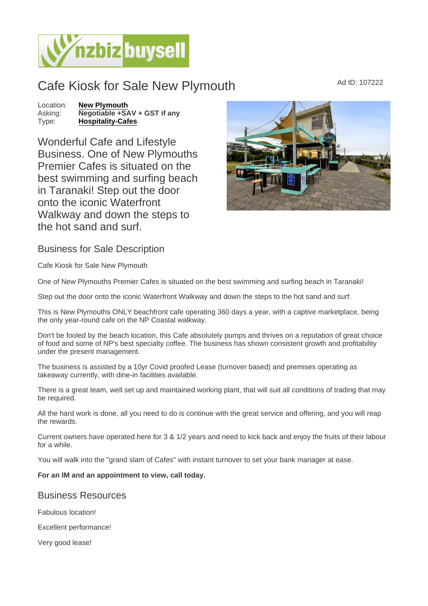## Cafe Kiosk for Sale New Plymouth Ad ID: 107222

Location: [New Plymouth](https://www.nzbizbuysell.co.nz/businesses-for-sale/location/New-Plymouth) Asking: Negotiable +SAV + GST if any<br>Type: Hospitality-Cafes [Hospitality-Cafes](https://www.nzbizbuysell.co.nz/businesses-for-sale/Cafes/New-Zealand)

Wonderful Cafe and Lifestyle Business. One of New Plymouths Premier Cafes is situated on the best swimming and surfing beach in Taranaki! Step out the door onto the iconic Waterfront Walkway and down the steps to the hot sand and surf.

## Business for Sale Description

Cafe Kiosk for Sale New Plymouth

One of New Plymouths Premier Cafes is situated on the best swimming and surfing beach in Taranaki!

Step out the door onto the iconic Waterfront Walkway and down the steps to the hot sand and surf.

This is New Plymouths ONLY beachfront cafe operating 360 days a year, with a captive marketplace, being the only year-round cafe on the NP Coastal walkway.

Don't be fooled by the beach location, this Cafe absolutely pumps and thrives on a reputation of great choice of food and some of NP's best specialty coffee. The business has shown consistent growth and profitability under the present management.

The business is assisted by a 10yr Covid proofed Lease (turnover based) and premises operating as takeaway currently, with dine-in facilities available.

There is a great team, well set up and maintained working plant, that will suit all conditions of trading that may be required.

All the hard work is done, all you need to do is continue with the great service and offering, and you will reap the rewards.

Current owners have operated here for 3 & 1/2 years and need to kick back and enjoy the fruits of their labour for a while.

You will walk into the "grand slam of Cafes" with instant turnover to set your bank manager at ease.

For an IM and an appointment to view, call today.

## Business Resources

Fabulous location!

Excellent performance!

Very good lease!